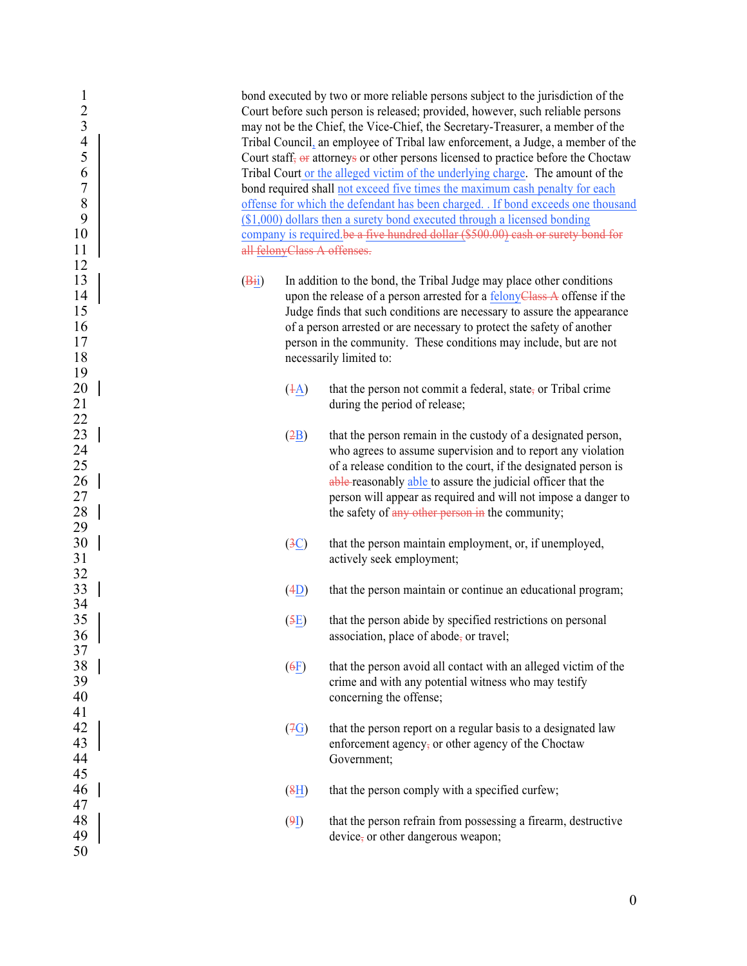| 1<br>$\overline{c}$<br>$\overline{\mathbf{3}}$<br>$\overline{4}$ |                               | bond executed by two or more reliable persons subject to the jurisdiction of the<br>Court before such person is released; provided, however, such reliable persons<br>may not be the Chief, the Vice-Chief, the Secretary-Treasurer, a member of the<br>Tribal Council, an employee of Tribal law enforcement, a Judge, a member of the |
|------------------------------------------------------------------|-------------------------------|-----------------------------------------------------------------------------------------------------------------------------------------------------------------------------------------------------------------------------------------------------------------------------------------------------------------------------------------|
| 5                                                                |                               | Court staff, or attorneys or other persons licensed to practice before the Choctaw                                                                                                                                                                                                                                                      |
| 6                                                                |                               | Tribal Court or the alleged victim of the underlying charge. The amount of the                                                                                                                                                                                                                                                          |
| $\boldsymbol{7}$                                                 |                               | bond required shall not exceed five times the maximum cash penalty for each                                                                                                                                                                                                                                                             |
| 8                                                                |                               | offense for which the defendant has been charged. . If bond exceeds one thousand                                                                                                                                                                                                                                                        |
| 9                                                                |                               | $($1,000)$ dollars then a surety bond executed through a licensed bonding                                                                                                                                                                                                                                                               |
| 10                                                               |                               | company is required be a five hundred dollar (\$500.00) cash or surety bond for                                                                                                                                                                                                                                                         |
| 11                                                               | all felonyClass A offenses.   |                                                                                                                                                                                                                                                                                                                                         |
| 12                                                               |                               |                                                                                                                                                                                                                                                                                                                                         |
| 13                                                               | (B <sub>ii</sub> )            | In addition to the bond, the Tribal Judge may place other conditions                                                                                                                                                                                                                                                                    |
| 14                                                               |                               |                                                                                                                                                                                                                                                                                                                                         |
|                                                                  |                               | upon the release of a person arrested for a felonyClass A offense if the                                                                                                                                                                                                                                                                |
| 15                                                               |                               | Judge finds that such conditions are necessary to assure the appearance                                                                                                                                                                                                                                                                 |
| 16                                                               |                               | of a person arrested or are necessary to protect the safety of another                                                                                                                                                                                                                                                                  |
| 17                                                               |                               | person in the community. These conditions may include, but are not                                                                                                                                                                                                                                                                      |
| 18                                                               |                               | necessarily limited to:                                                                                                                                                                                                                                                                                                                 |
| 19                                                               |                               |                                                                                                                                                                                                                                                                                                                                         |
| 20                                                               | $(\pm \underline{A})$         | that the person not commit a federal, state, or Tribal crime                                                                                                                                                                                                                                                                            |
| 21                                                               |                               | during the period of release;                                                                                                                                                                                                                                                                                                           |
| 22<br>23<br>24<br>25                                             |                               |                                                                                                                                                                                                                                                                                                                                         |
|                                                                  | (2B)                          | that the person remain in the custody of a designated person,                                                                                                                                                                                                                                                                           |
|                                                                  |                               | who agrees to assume supervision and to report any violation                                                                                                                                                                                                                                                                            |
|                                                                  |                               | of a release condition to the court, if the designated person is                                                                                                                                                                                                                                                                        |
| 26                                                               |                               | able reasonably able to assure the judicial officer that the                                                                                                                                                                                                                                                                            |
| 27                                                               |                               | person will appear as required and will not impose a danger to                                                                                                                                                                                                                                                                          |
| 28                                                               |                               | the safety of any other person in the community;                                                                                                                                                                                                                                                                                        |
| 29                                                               |                               |                                                                                                                                                                                                                                                                                                                                         |
| 30                                                               | $\left( \frac{3C}{2} \right)$ | that the person maintain employment, or, if unemployed,                                                                                                                                                                                                                                                                                 |
| 31                                                               |                               | actively seek employment;                                                                                                                                                                                                                                                                                                               |
| 32                                                               |                               |                                                                                                                                                                                                                                                                                                                                         |
| 33                                                               | (4D)                          | that the person maintain or continue an educational program;                                                                                                                                                                                                                                                                            |
| 34                                                               |                               |                                                                                                                                                                                                                                                                                                                                         |
| 35                                                               | (5E)                          | that the person abide by specified restrictions on personal                                                                                                                                                                                                                                                                             |
| 36                                                               |                               | association, place of abode, or travel;                                                                                                                                                                                                                                                                                                 |
| 37                                                               |                               |                                                                                                                                                                                                                                                                                                                                         |
| 38                                                               | (6E)                          | that the person avoid all contact with an alleged victim of the                                                                                                                                                                                                                                                                         |
| 39                                                               |                               | crime and with any potential witness who may testify                                                                                                                                                                                                                                                                                    |
| 40                                                               |                               | concerning the offense;                                                                                                                                                                                                                                                                                                                 |
| 41                                                               |                               |                                                                                                                                                                                                                                                                                                                                         |
| 42                                                               | (7G)                          | that the person report on a regular basis to a designated law                                                                                                                                                                                                                                                                           |
| 43                                                               |                               | enforcement agency, or other agency of the Choctaw                                                                                                                                                                                                                                                                                      |
|                                                                  |                               | Government;                                                                                                                                                                                                                                                                                                                             |
| 44<br>45                                                         |                               |                                                                                                                                                                                                                                                                                                                                         |
| 46                                                               |                               |                                                                                                                                                                                                                                                                                                                                         |
|                                                                  | $\left(\frac{8H}{2}\right)$   | that the person comply with a specified curfew;                                                                                                                                                                                                                                                                                         |
| 47                                                               |                               |                                                                                                                                                                                                                                                                                                                                         |
| 48                                                               | (9I)                          | that the person refrain from possessing a firearm, destructive                                                                                                                                                                                                                                                                          |
| 49<br>50                                                         |                               | device, or other dangerous weapon;                                                                                                                                                                                                                                                                                                      |
|                                                                  |                               |                                                                                                                                                                                                                                                                                                                                         |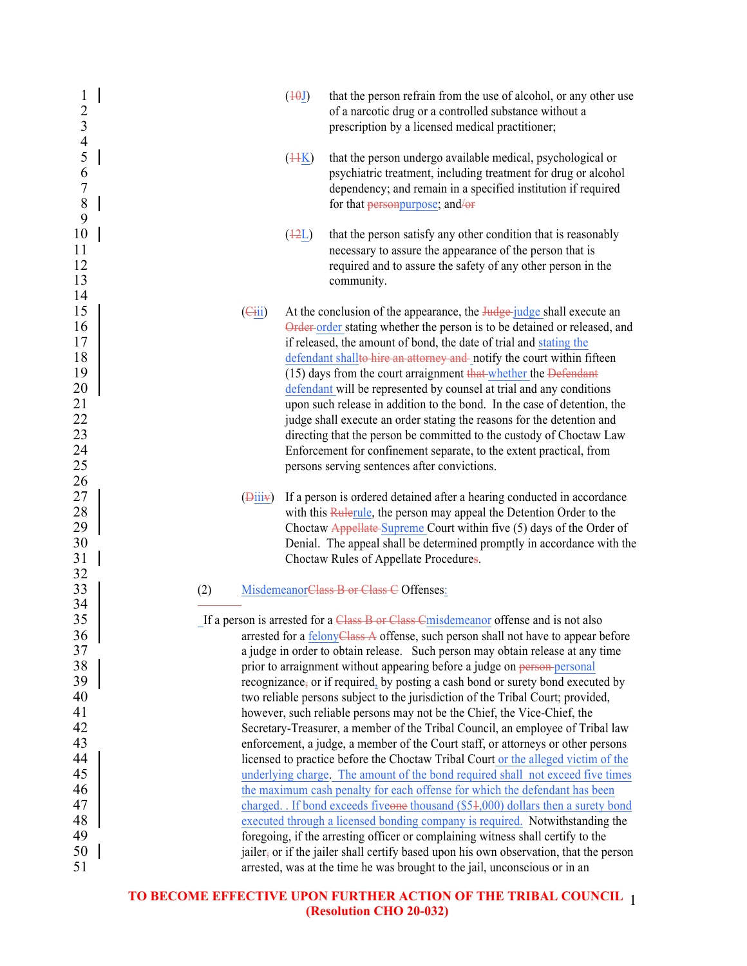| $\mathbf{1}$<br>$\frac{2}{3}$<br>$\overline{\mathcal{A}}$            | (10J)<br>that the person refrain from the use of alcohol, or any other use<br>of a narcotic drug or a controlled substance without a<br>prescription by a licensed medical practitioner;                                                                                                                                                                                                                                                                                                                                                                                                                                                                                                                                                                                                                                                  |
|----------------------------------------------------------------------|-------------------------------------------------------------------------------------------------------------------------------------------------------------------------------------------------------------------------------------------------------------------------------------------------------------------------------------------------------------------------------------------------------------------------------------------------------------------------------------------------------------------------------------------------------------------------------------------------------------------------------------------------------------------------------------------------------------------------------------------------------------------------------------------------------------------------------------------|
| 5<br>$\frac{6}{7}$<br>$\,$ $\,$<br>9                                 | that the person undergo available medical, psychological or<br>$(\frac{44K}{2})$<br>psychiatric treatment, including treatment for drug or alcohol<br>dependency; and remain in a specified institution if required<br>for that <b>personpurpose</b> ; and/or                                                                                                                                                                                                                                                                                                                                                                                                                                                                                                                                                                             |
| 10<br>11<br>12<br>13<br>14                                           | $(\frac{12L}{2})$<br>that the person satisfy any other condition that is reasonably<br>necessary to assure the appearance of the person that is<br>required and to assure the safety of any other person in the<br>community.                                                                                                                                                                                                                                                                                                                                                                                                                                                                                                                                                                                                             |
| 15<br>16<br>17<br>18<br>19<br>20<br>21<br>22<br>23<br>24<br>25<br>26 | $\left(\frac{1}{2}i\right)$<br>At the conclusion of the appearance, the <b>Judge</b> -judge shall execute an<br>Order-order stating whether the person is to be detained or released, and<br>if released, the amount of bond, the date of trial and stating the<br>defendant shallto hire an attorney and notify the court within fifteen<br>(15) days from the court arraignment that whether the Defendant<br>defendant will be represented by counsel at trial and any conditions<br>upon such release in addition to the bond. In the case of detention, the<br>judge shall execute an order stating the reasons for the detention and<br>directing that the person be committed to the custody of Choctaw Law<br>Enforcement for confinement separate, to the extent practical, from<br>persons serving sentences after convictions. |
| 27<br>28<br>29<br>30<br>31                                           | If a person is ordered detained after a hearing conducted in accordance<br>$(\overline{9}$ iii $\overline{y})$<br>with this Rulerule, the person may appeal the Detention Order to the<br>Choctaw Appellate Supreme Court within five (5) days of the Order of<br>Denial. The appeal shall be determined promptly in accordance with the<br>Choctaw Rules of Appellate Procedures.                                                                                                                                                                                                                                                                                                                                                                                                                                                        |
| 32<br>33                                                             | MisdemeanorClass B or Class C Offenses:<br>(2)                                                                                                                                                                                                                                                                                                                                                                                                                                                                                                                                                                                                                                                                                                                                                                                            |
| 34<br>35<br>36<br>37<br>38                                           | If a person is arrested for a Class B or Class Cmisdemeanor offense and is not also<br>arrested for a felonyClass A offense, such person shall not have to appear before<br>a judge in order to obtain release. Such person may obtain release at any time<br>prior to arraignment without appearing before a judge on person-personal                                                                                                                                                                                                                                                                                                                                                                                                                                                                                                    |
| 39<br>40<br>41                                                       | recognizance, or if required, by posting a cash bond or surety bond executed by<br>two reliable persons subject to the jurisdiction of the Tribal Court; provided,<br>however, such reliable persons may not be the Chief, the Vice-Chief, the                                                                                                                                                                                                                                                                                                                                                                                                                                                                                                                                                                                            |
| 42<br>43                                                             | Secretary-Treasurer, a member of the Tribal Council, an employee of Tribal law<br>enforcement, a judge, a member of the Court staff, or attorneys or other persons                                                                                                                                                                                                                                                                                                                                                                                                                                                                                                                                                                                                                                                                        |
| 44                                                                   | licensed to practice before the Choctaw Tribal Court or the alleged victim of the                                                                                                                                                                                                                                                                                                                                                                                                                                                                                                                                                                                                                                                                                                                                                         |
| 45                                                                   | underlying charge. The amount of the bond required shall not exceed five times                                                                                                                                                                                                                                                                                                                                                                                                                                                                                                                                                                                                                                                                                                                                                            |
| 46                                                                   | the maximum cash penalty for each offense for which the defendant has been                                                                                                                                                                                                                                                                                                                                                                                                                                                                                                                                                                                                                                                                                                                                                                |
| 47                                                                   | charged. If bond exceeds fiveone thousand (\$54,000) dollars then a surety bond                                                                                                                                                                                                                                                                                                                                                                                                                                                                                                                                                                                                                                                                                                                                                           |
| 48                                                                   | executed through a licensed bonding company is required. Notwithstanding the                                                                                                                                                                                                                                                                                                                                                                                                                                                                                                                                                                                                                                                                                                                                                              |
| 49                                                                   | foregoing, if the arresting officer or complaining witness shall certify to the                                                                                                                                                                                                                                                                                                                                                                                                                                                                                                                                                                                                                                                                                                                                                           |
| 50                                                                   | jailer, or if the jailer shall certify based upon his own observation, that the person                                                                                                                                                                                                                                                                                                                                                                                                                                                                                                                                                                                                                                                                                                                                                    |
| 51                                                                   | arrested, was at the time he was brought to the jail, unconscious or in an                                                                                                                                                                                                                                                                                                                                                                                                                                                                                                                                                                                                                                                                                                                                                                |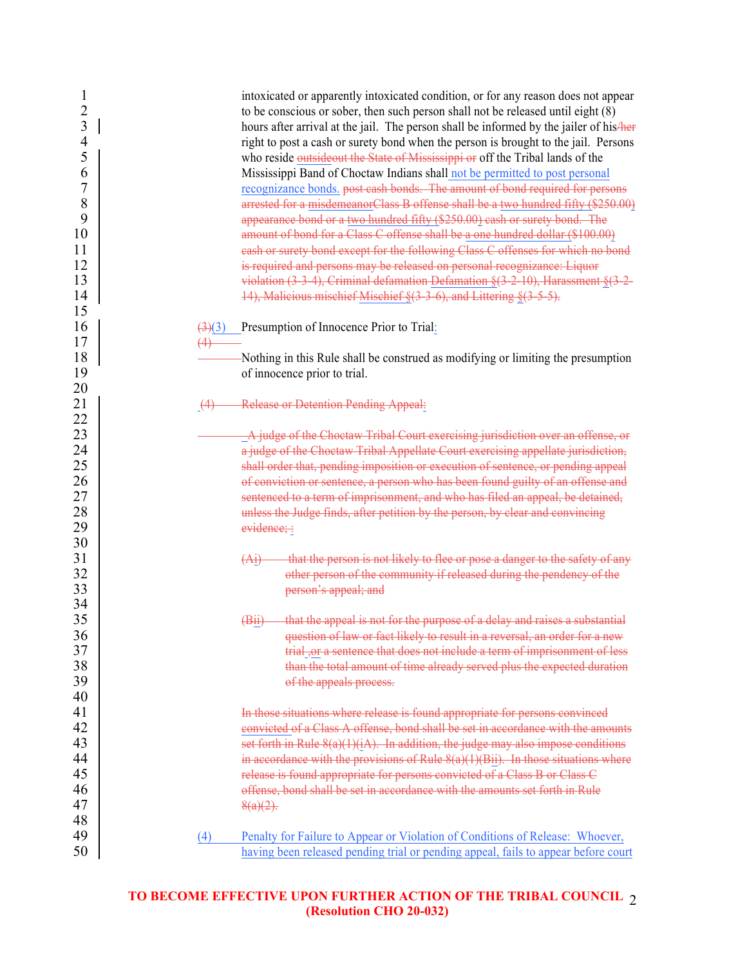| $\mathbf{I}$<br>$\overline{2}$   |     | intoxicated or apparently intoxicated condition, or for any reason does not appear<br>to be conscious or sober, then such person shall not be released until eight (8)        |
|----------------------------------|-----|-------------------------------------------------------------------------------------------------------------------------------------------------------------------------------|
| $\overline{3}$<br>$\overline{4}$ |     | hours after arrival at the jail. The person shall be informed by the jailer of his/her<br>right to post a cash or surety bond when the person is brought to the jail. Persons |
| 5                                |     | who reside outsideout the State of Mississippi or off the Tribal lands of the                                                                                                 |
| 6                                |     | Mississippi Band of Choctaw Indians shall not be permitted to post personal                                                                                                   |
| 7                                |     | recognizance bonds, post cash bonds. The amount of bond required for persons                                                                                                  |
| 8                                |     | arrested for a misdemeanorClass B offense shall be a two hundred fifty (\$250.00)                                                                                             |
| 9                                |     | appearance bond or a two hundred fifty (\$250.00) cash or surety bond. The                                                                                                    |
| 10                               |     | amount of bond for a Class C offense shall be a one hundred dollar (\$100.00)                                                                                                 |
| 11                               |     | eash or surety bond except for the following Class C offenses for which no bond                                                                                               |
| 12                               |     | is required and persons may be released on personal recognizance: Liquor                                                                                                      |
| 13                               |     | violation $(3-3-4)$ , Criminal defamation Defamation $\S(3-2-10)$ , Harassment $\S(3-2-1)$                                                                                    |
| 14                               |     | 14), Malicious mischief Mischief §(3-3-6), and Littering §(3-5-5).                                                                                                            |
| 15                               |     |                                                                                                                                                                               |
| 16                               |     | $\frac{(\frac{3}{2})}{(3)}$ Presumption of Innocence Prior to Trial:                                                                                                          |
| 17                               |     |                                                                                                                                                                               |
| 18                               |     | Nothing in this Rule shall be construed as modifying or limiting the presumption                                                                                              |
| 19                               |     | of innocence prior to trial.                                                                                                                                                  |
| 20                               |     |                                                                                                                                                                               |
| 21                               | (4) | <b>Release or Detention Pending Appeal:</b>                                                                                                                                   |
| 22                               |     |                                                                                                                                                                               |
| 23                               |     | A judge of the Choctaw Tribal Court exercising jurisdiction over an offense, or                                                                                               |
| 24                               |     | a judge of the Choctaw Tribal Appellate Court exercising appellate jurisdiction,                                                                                              |
| 25                               |     | shall order that, pending imposition or execution of sentence, or pending appeal                                                                                              |
| 26                               |     | of conviction or sentence, a person who has been found guilty of an offense and                                                                                               |
| 27                               |     | sentenced to a term of imprisonment, and who has filed an appeal, be detained,                                                                                                |
| 28                               |     | unless the Judge finds, after petition by the person, by clear and convincing                                                                                                 |
| 29                               |     | evidence;:                                                                                                                                                                    |
| 30                               |     |                                                                                                                                                                               |
| 31                               |     | that the person is not likely to flee or pose a danger to the safety of any<br>(A <sub>1</sub> )                                                                              |
| 32                               |     | other person of the community if released during the pendency of the                                                                                                          |
| 33                               |     | person's appeal; and                                                                                                                                                          |
| 34                               |     |                                                                                                                                                                               |
| 35                               |     | (Bii) that the appeal is not for the purpose of a delay and raises a substantial                                                                                              |
| 36                               |     | question of law or fact likely to result in a reversal, an order for a new                                                                                                    |
| 37                               |     | trial, or a sentence that does not include a term of imprisonment of less                                                                                                     |
| 38                               |     | than the total amount of time already served plus the expected duration                                                                                                       |
| 39                               |     | of the appeals process.                                                                                                                                                       |
| 40                               |     |                                                                                                                                                                               |
| 41                               |     | In those situations where release is found appropriate for persons convinced                                                                                                  |
| 42                               |     | convicted of a Class A offense, bond shall be set in accordance with the amounts                                                                                              |
| 43                               |     | set forth in Rule $8(a)(1)(iA)$ . In addition, the judge may also impose conditions                                                                                           |
| 44                               |     | in accordance with the provisions of Rule $8(a)(1)(Bii)$ . In those situations where                                                                                          |
| 45                               |     | release is found appropriate for persons convicted of a Class B or Class C                                                                                                    |
| 46                               |     | offense, bond shall be set in accordance with the amounts set forth in Rule                                                                                                   |
| 47                               |     | $8(a)(2)$ .                                                                                                                                                                   |
| 48                               |     |                                                                                                                                                                               |
| 49                               | (4) | Penalty for Failure to Appear or Violation of Conditions of Release: Whoever,                                                                                                 |
| 50                               |     | having been released pending trial or pending appeal, fails to appear before court                                                                                            |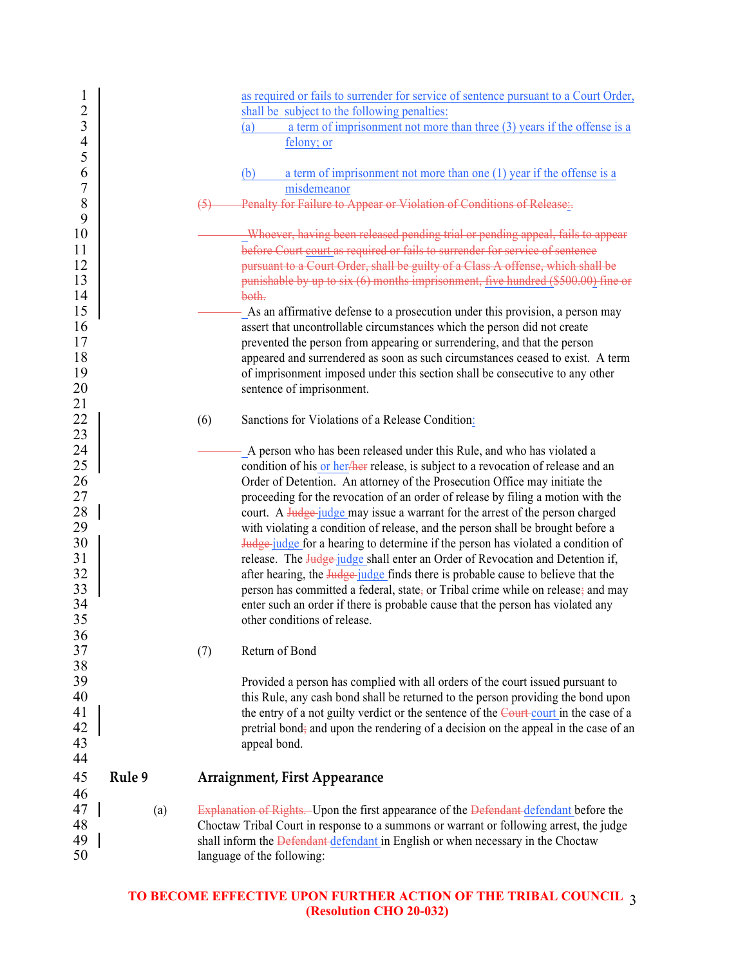| 1<br>$\overline{c}$<br>3 |        |     | as required or fails to surrender for service of sentence pursuant to a Court Order,<br>shall be subject to the following penalties:<br>a term of imprisonment not more than three $(3)$ years if the offense is a<br>(a) |
|--------------------------|--------|-----|---------------------------------------------------------------------------------------------------------------------------------------------------------------------------------------------------------------------------|
| $\overline{4}$           |        |     | felony; or                                                                                                                                                                                                                |
| 5<br>6<br>7              |        |     | a term of imprisonment not more than one $(1)$ year if the offense is a<br>(b)<br>misdemeanor                                                                                                                             |
| 8                        |        |     | Penalty for Failure to Appear or Violation of Conditions of Release:                                                                                                                                                      |
| 9                        |        |     |                                                                                                                                                                                                                           |
| 10                       |        |     | Whoever, having been released pending trial or pending appeal, fails to appear                                                                                                                                            |
| 11                       |        |     | before Court court as required or fails to surrender for service of sentence                                                                                                                                              |
| 12                       |        |     | pursuant to a Court Order, shall be guilty of a Class A offense, which shall be                                                                                                                                           |
| 13                       |        |     | punishable by up to six (6) months imprisonment, five hundred (\$500.00) fine or                                                                                                                                          |
| 14                       |        |     | both.                                                                                                                                                                                                                     |
| 15                       |        |     | - As an affirmative defense to a prosecution under this provision, a person may                                                                                                                                           |
| 16                       |        |     | assert that uncontrollable circumstances which the person did not create                                                                                                                                                  |
| 17                       |        |     | prevented the person from appearing or surrendering, and that the person                                                                                                                                                  |
| 18                       |        |     | appeared and surrendered as soon as such circumstances ceased to exist. A term                                                                                                                                            |
| 19                       |        |     | of imprisonment imposed under this section shall be consecutive to any other                                                                                                                                              |
| 20                       |        |     | sentence of imprisonment.                                                                                                                                                                                                 |
| 21                       |        |     |                                                                                                                                                                                                                           |
| 22                       |        | (6) | Sanctions for Violations of a Release Condition:                                                                                                                                                                          |
| 23                       |        |     |                                                                                                                                                                                                                           |
| 24<br>25                 |        |     | - A person who has been released under this Rule, and who has violated a                                                                                                                                                  |
| 26                       |        |     | condition of his or her/her release, is subject to a revocation of release and an                                                                                                                                         |
|                          |        |     | Order of Detention. An attorney of the Prosecution Office may initiate the                                                                                                                                                |
| 27                       |        |     | proceeding for the revocation of an order of release by filing a motion with the                                                                                                                                          |
| 28                       |        |     | court. A Judge-judge may issue a warrant for the arrest of the person charged                                                                                                                                             |
| 29<br>30                 |        |     | with violating a condition of release, and the person shall be brought before a                                                                                                                                           |
| 31                       |        |     | <b>Judge</b> judge for a hearing to determine if the person has violated a condition of                                                                                                                                   |
| 32                       |        |     | release. The Judge-judge shall enter an Order of Revocation and Detention if,                                                                                                                                             |
| 33                       |        |     | after hearing, the <b>Judge</b> -judge finds there is probable cause to believe that the                                                                                                                                  |
| 34                       |        |     | person has committed a federal, state, or Tribal crime while on release, and may                                                                                                                                          |
| 35                       |        |     | enter such an order if there is probable cause that the person has violated any<br>other conditions of release.                                                                                                           |
| 36                       |        |     |                                                                                                                                                                                                                           |
| 37                       |        | (7) | Return of Bond                                                                                                                                                                                                            |
| 38                       |        |     |                                                                                                                                                                                                                           |
| 39                       |        |     | Provided a person has complied with all orders of the court issued pursuant to                                                                                                                                            |
| 40                       |        |     | this Rule, any cash bond shall be returned to the person providing the bond upon                                                                                                                                          |
| 41                       |        |     | the entry of a not guilty verdict or the sentence of the Court court in the case of a                                                                                                                                     |
| 42                       |        |     | pretrial bond; and upon the rendering of a decision on the appeal in the case of an                                                                                                                                       |
| 43                       |        |     | appeal bond.                                                                                                                                                                                                              |
| 44                       |        |     |                                                                                                                                                                                                                           |
| 45                       | Rule 9 |     | <b>Arraignment, First Appearance</b>                                                                                                                                                                                      |
| 46                       |        |     |                                                                                                                                                                                                                           |
| 47                       | (a)    |     | Explanation of Rights. Upon the first appearance of the Defendant defendant before the                                                                                                                                    |
| 48                       |        |     | Choctaw Tribal Court in response to a summons or warrant or following arrest, the judge                                                                                                                                   |
| 49                       |        |     | shall inform the Defendant defendant in English or when necessary in the Choctaw                                                                                                                                          |
| 50                       |        |     | language of the following:                                                                                                                                                                                                |
|                          |        |     |                                                                                                                                                                                                                           |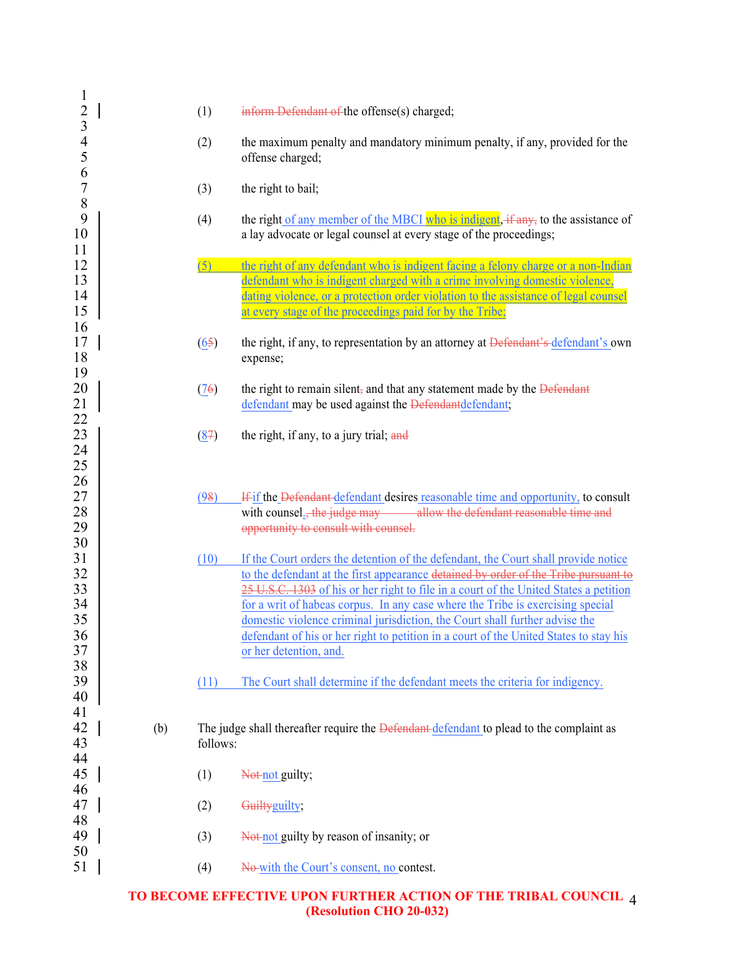| $\mathbf{1}$<br>$\overline{c}$ |     |          |                                                                                                                                                         |
|--------------------------------|-----|----------|---------------------------------------------------------------------------------------------------------------------------------------------------------|
| $\overline{\mathbf{3}}$        |     | (1)      | inform Defendant of the offense(s) charged;                                                                                                             |
| $\frac{4}{5}$<br>6             |     | (2)      | the maximum penalty and mandatory minimum penalty, if any, provided for the<br>offense charged;                                                         |
| $\overline{7}$<br>8            |     | (3)      | the right to bail;                                                                                                                                      |
| 9<br>10<br>11                  |     | (4)      | the right of any member of the MBCI who is indigent, if any, to the assistance of<br>a lay advocate or legal counsel at every stage of the proceedings; |
| 12                             |     | (5)      | the right of any defendant who is indigent facing a felony charge or a non-Indian                                                                       |
| 13                             |     |          | defendant who is indigent charged with a crime involving domestic violence,                                                                             |
| 14<br>15                       |     |          | dating violence, or a protection order violation to the assistance of legal counsel<br>at every stage of the proceedings paid for by the Tribe;         |
| 16<br>17                       |     | (65)     | the right, if any, to representation by an attorney at <del>Defendant's defendant</del> 's own                                                          |
| 18                             |     |          | expense;                                                                                                                                                |
| 19                             |     |          |                                                                                                                                                         |
| 20                             |     | (76)     | the right to remain silent, and that any statement made by the Defendant                                                                                |
| 21                             |     |          | defendant may be used against the Defendantdefendant;                                                                                                   |
| 22<br>23                       |     | (87)     | the right, if any, to a jury trial; and                                                                                                                 |
| 24                             |     |          |                                                                                                                                                         |
| 25                             |     |          |                                                                                                                                                         |
| 26                             |     |          |                                                                                                                                                         |
| 27                             |     | (98)     | If if the Defendant defendant desires reasonable time and opportunity, to consult                                                                       |
| 28                             |     |          | with counsel <sub>1</sub> , the judge may allow the defendant reasonable time and                                                                       |
| 29                             |     |          | opportunity to consult with counsel.                                                                                                                    |
| 30                             |     |          |                                                                                                                                                         |
| 31                             |     | (10)     | If the Court orders the detention of the defendant, the Court shall provide notice                                                                      |
| 32                             |     |          | to the defendant at the first appearance detained by order of the Tribe pursuant to                                                                     |
| 33                             |     |          | 25 U.S.C. 1303 of his or her right to file in a court of the United States a petition                                                                   |
| 34                             |     |          | for a writ of habeas corpus. In any case where the Tribe is exercising special                                                                          |
| 35                             |     |          | domestic violence criminal jurisdiction, the Court shall further advise the                                                                             |
| 36                             |     |          | defendant of his or her right to petition in a court of the United States to stay his                                                                   |
| 37                             |     |          | or her detention, and.                                                                                                                                  |
| 38<br>39                       |     | (11)     | The Court shall determine if the defendant meets the criteria for indigency.                                                                            |
| 40                             |     |          |                                                                                                                                                         |
| 41                             |     |          |                                                                                                                                                         |
| 42                             | (b) |          | The judge shall thereafter require the <b>Defendant</b> defendant to plead to the complaint as                                                          |
| 43                             |     | follows: |                                                                                                                                                         |
| 44                             |     |          |                                                                                                                                                         |
| 45                             |     | (1)      | Not-not guilty;                                                                                                                                         |
| 46                             |     |          |                                                                                                                                                         |
| 47                             |     | (2)      | Guiltyguilty;                                                                                                                                           |
| 48                             |     |          |                                                                                                                                                         |
| 49                             |     | (3)      | Not-not guilty by reason of insanity; or                                                                                                                |
| 50                             |     |          |                                                                                                                                                         |
| 51                             |     | (4)      | No-with the Court's consent, no contest.                                                                                                                |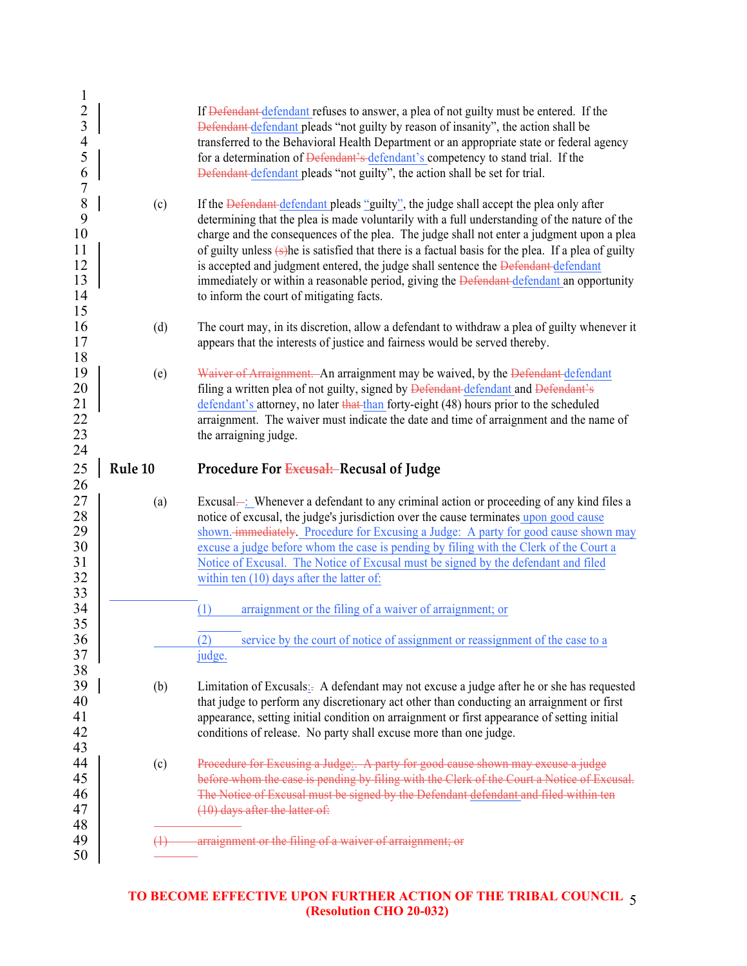| $\mathbf{1}$<br>$\frac{2}{3}$<br>$\frac{4}{5}$<br>6          |         | If Defendant defendant refuses to answer, a plea of not guilty must be entered. If the<br>Defendant defendant pleads "not guilty by reason of insanity", the action shall be<br>transferred to the Behavioral Health Department or an appropriate state or federal agency<br>for a determination of Defendant's defendant's competency to stand trial. If the<br>Defendant defendant pleads "not guilty", the action shall be set for trial.                                                                                                                                                                                       |
|--------------------------------------------------------------|---------|------------------------------------------------------------------------------------------------------------------------------------------------------------------------------------------------------------------------------------------------------------------------------------------------------------------------------------------------------------------------------------------------------------------------------------------------------------------------------------------------------------------------------------------------------------------------------------------------------------------------------------|
| $\overline{7}$<br>8<br>9<br>10<br>11<br>12<br>13<br>14<br>15 | (c)     | If the Defendant defendant pleads "guilty", the judge shall accept the plea only after<br>determining that the plea is made voluntarily with a full understanding of the nature of the<br>charge and the consequences of the plea. The judge shall not enter a judgment upon a plea<br>of guilty unless $(s)$ he is satisfied that there is a factual basis for the plea. If a plea of guilty<br>is accepted and judgment entered, the judge shall sentence the Defendant defendant<br>immediately or within a reasonable period, giving the <b>Defendant</b> defendant an opportunity<br>to inform the court of mitigating facts. |
| 16<br>17<br>18                                               | (d)     | The court may, in its discretion, allow a defendant to withdraw a plea of guilty whenever it<br>appears that the interests of justice and fairness would be served thereby.                                                                                                                                                                                                                                                                                                                                                                                                                                                        |
| 19<br>20<br>21<br>22<br>23<br>24                             | (e)     | Waiver of Arraignment. An arraignment may be waived, by the Defendant defendant<br>filing a written plea of not guilty, signed by Defendant defendant and Defendant's<br>defendant's attorney, no later that than forty-eight (48) hours prior to the scheduled<br>arraignment. The waiver must indicate the date and time of arraignment and the name of<br>the arraigning judge.                                                                                                                                                                                                                                                 |
| 25                                                           | Rule 10 | Procedure For Excusal: Recusal of Judge                                                                                                                                                                                                                                                                                                                                                                                                                                                                                                                                                                                            |
| 26<br>27<br>28<br>29<br>30<br>31<br>32<br>33                 | (a)     | Excusal—: Whenever a defendant to any criminal action or proceeding of any kind files a<br>notice of excusal, the judge's jurisdiction over the cause terminates upon good cause<br>shown. <del>immediately</del> . Procedure for Excusing a Judge: A party for good cause shown may<br>excuse a judge before whom the case is pending by filing with the Clerk of the Court a<br>Notice of Excusal. The Notice of Excusal must be signed by the defendant and filed<br>within ten $(10)$ days after the latter of:                                                                                                                |
| 34<br>35<br>36                                               |         | arraignment or the filing of a waiver of arraignment; or<br>(1)<br>service by the court of notice of assignment or reassignment of the case to a<br>$\left( 2\right)$                                                                                                                                                                                                                                                                                                                                                                                                                                                              |
| 37<br>38                                                     |         | judge.                                                                                                                                                                                                                                                                                                                                                                                                                                                                                                                                                                                                                             |
| 39<br>40<br>41                                               | (b)     | Limitation of Excusals: A defendant may not excuse a judge after he or she has requested<br>that judge to perform any discretionary act other than conducting an arraignment or first                                                                                                                                                                                                                                                                                                                                                                                                                                              |
| 42                                                           |         | appearance, setting initial condition on arraignment or first appearance of setting initial<br>conditions of release. No party shall excuse more than one judge.                                                                                                                                                                                                                                                                                                                                                                                                                                                                   |
| 43<br>44<br>45<br>46<br>47<br>48                             | (c)     | Procedure for Excusing a Judge: A party for good cause shown may excuse a judge<br>before whom the case is pending by filing with the Clerk of the Court a Notice of Excusal.<br>The Notice of Excusal must be signed by the Defendant defendant and filed within ten<br>$(10)$ days after the latter of:                                                                                                                                                                                                                                                                                                                          |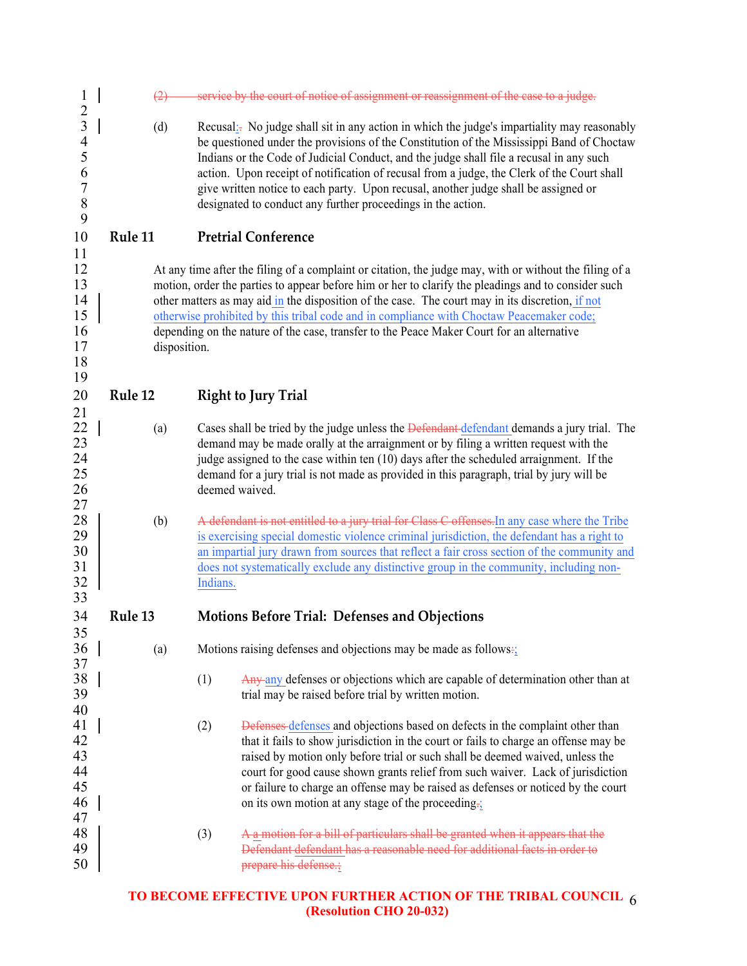| $\mathbf 1$<br>$\overline{c}$                                                           | (2)     |              | service by the court of notice of assignment or reassignment of the case to a judge.                                                                                                                                                                                                                                                                                                                                                                                                                                                    |
|-----------------------------------------------------------------------------------------|---------|--------------|-----------------------------------------------------------------------------------------------------------------------------------------------------------------------------------------------------------------------------------------------------------------------------------------------------------------------------------------------------------------------------------------------------------------------------------------------------------------------------------------------------------------------------------------|
| $\overline{\mathbf{3}}$<br>$\overline{4}$<br>5<br>6<br>$\boldsymbol{7}$<br>$\,8\,$<br>9 | (d)     |              | Recusal: No judge shall sit in any action in which the judge's impartiality may reasonably<br>be questioned under the provisions of the Constitution of the Mississippi Band of Choctaw<br>Indians or the Code of Judicial Conduct, and the judge shall file a recusal in any such<br>action. Upon receipt of notification of recusal from a judge, the Clerk of the Court shall<br>give written notice to each party. Upon recusal, another judge shall be assigned or<br>designated to conduct any further proceedings in the action. |
| 10                                                                                      | Rule 11 |              | <b>Pretrial Conference</b>                                                                                                                                                                                                                                                                                                                                                                                                                                                                                                              |
| 11<br>12<br>13<br>14<br>15<br>16<br>17<br>18<br>19                                      |         | disposition. | At any time after the filing of a complaint or citation, the judge may, with or without the filing of a<br>motion, order the parties to appear before him or her to clarify the pleadings and to consider such<br>other matters as may aid in the disposition of the case. The court may in its discretion, if not<br>otherwise prohibited by this tribal code and in compliance with Choctaw Peacemaker code;<br>depending on the nature of the case, transfer to the Peace Maker Court for an alternative                             |
| 20                                                                                      | Rule 12 |              | <b>Right to Jury Trial</b>                                                                                                                                                                                                                                                                                                                                                                                                                                                                                                              |
| 21<br>22<br>23<br>24<br>25<br>26<br>27                                                  | (a)     |              | Cases shall be tried by the judge unless the Defendant defendant demands a jury trial. The<br>demand may be made orally at the arraignment or by filing a written request with the<br>judge assigned to the case within ten (10) days after the scheduled arraignment. If the<br>demand for a jury trial is not made as provided in this paragraph, trial by jury will be<br>deemed waived.                                                                                                                                             |
| 28<br>29<br>30<br>31<br>32                                                              | (b)     |              | A defendant is not entitled to a jury trial for Class C offenses. In any case where the Tribe<br>is exercising special domestic violence criminal jurisdiction, the defendant has a right to<br>an impartial jury drawn from sources that reflect a fair cross section of the community and<br>does not systematically exclude any distinctive group in the community, including non-<br>Indians.                                                                                                                                       |
| 33<br>34                                                                                | Rule 13 |              | <b>Motions Before Trial: Defenses and Objections</b>                                                                                                                                                                                                                                                                                                                                                                                                                                                                                    |
| 35<br>36<br>37<br>38                                                                    | (a)     |              | Motions raising defenses and objections may be made as follows:<br>(1)<br>Any any defenses or objections which are capable of determination other than at                                                                                                                                                                                                                                                                                                                                                                               |
| 39<br>40                                                                                |         |              | trial may be raised before trial by written motion.                                                                                                                                                                                                                                                                                                                                                                                                                                                                                     |
| 41<br>42<br>43<br>44<br>45<br>46<br>47                                                  |         |              | Defenses defenses and objections based on defects in the complaint other than<br>(2)<br>that it fails to show jurisdiction in the court or fails to charge an offense may be<br>raised by motion only before trial or such shall be deemed waived, unless the<br>court for good cause shown grants relief from such waiver. Lack of jurisdiction<br>or failure to charge an offense may be raised as defenses or noticed by the court<br>on its own motion at any stage of the proceeding.                                              |
| 48<br>49<br>50                                                                          |         |              | A a motion for a bill of particulars shall be granted when it appears that the<br>(3)<br>Defendant defendant has a reasonable need for additional facts in order to<br>prepare his defense.;                                                                                                                                                                                                                                                                                                                                            |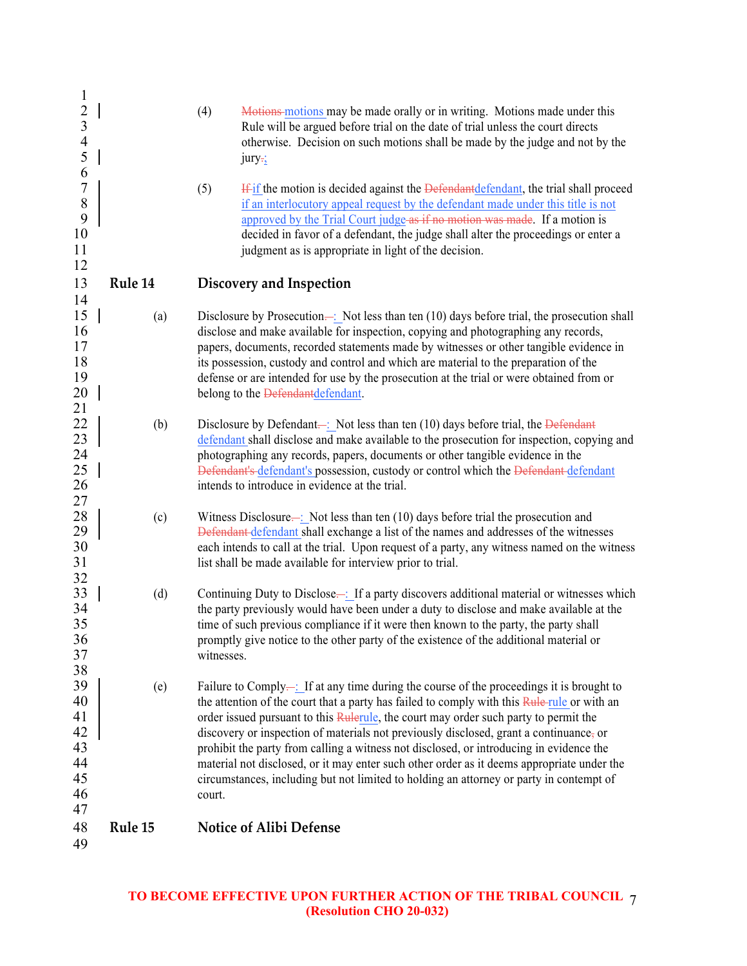| $\mathbf{1}$   |         |                                                                                                                                                                                     |
|----------------|---------|-------------------------------------------------------------------------------------------------------------------------------------------------------------------------------------|
| $\frac{2}{3}$  |         | (4)<br>Motions motions may be made orally or in writing. Motions made under this                                                                                                    |
|                |         | Rule will be argued before trial on the date of trial unless the court directs                                                                                                      |
| $\overline{4}$ |         | otherwise. Decision on such motions shall be made by the judge and not by the                                                                                                       |
| 5              |         | $jury_{\frac{1}{2}}$                                                                                                                                                                |
| 6              |         |                                                                                                                                                                                     |
| $\overline{7}$ |         | (5)<br><b>If if the motion is decided against the Defendant defendant</b> , the trial shall proceed                                                                                 |
| $\,$ $\,$<br>9 |         | if an interlocutory appeal request by the defendant made under this title is not<br>approved by the Trial Court judge as if no motion was made. If a motion is                      |
| 10             |         | decided in favor of a defendant, the judge shall alter the proceedings or enter a                                                                                                   |
| 11             |         | judgment as is appropriate in light of the decision.                                                                                                                                |
| 12             |         |                                                                                                                                                                                     |
| 13             | Rule 14 | Discovery and Inspection                                                                                                                                                            |
| 14             |         |                                                                                                                                                                                     |
| 15             | (a)     | Disclosure by Prosecution- $\div$ : Not less than ten (10) days before trial, the prosecution shall                                                                                 |
| 16             |         | disclose and make available for inspection, copying and photographing any records,                                                                                                  |
| 17             |         | papers, documents, recorded statements made by witnesses or other tangible evidence in                                                                                              |
| 18             |         | its possession, custody and control and which are material to the preparation of the                                                                                                |
| 19             |         | defense or are intended for use by the prosecution at the trial or were obtained from or                                                                                            |
| 20             |         | belong to the Defendantdefendant.                                                                                                                                                   |
| 21<br>22       | (b)     | Disclosure by Defendant- $\frac{1}{2}$ Not less than ten (10) days before trial, the Defendant                                                                                      |
| 23             |         | defendant shall disclose and make available to the prosecution for inspection, copying and                                                                                          |
| 24             |         | photographing any records, papers, documents or other tangible evidence in the                                                                                                      |
| 25             |         | Defendant's defendant's possession, custody or control which the Defendant defendant                                                                                                |
| 26             |         | intends to introduce in evidence at the trial.                                                                                                                                      |
| 27             |         |                                                                                                                                                                                     |
| 28             | (c)     | Witness Disclosure $\frac{1}{2}$ Not less than ten (10) days before trial the prosecution and                                                                                       |
| 29             |         | Defendant defendant shall exchange a list of the names and addresses of the witnesses                                                                                               |
| 30<br>31       |         | each intends to call at the trial. Upon request of a party, any witness named on the witness<br>list shall be made available for interview prior to trial.                          |
| 32             |         |                                                                                                                                                                                     |
| 33             | (d)     | Continuing Duty to Disclose—1 If a party discovers additional material or witnesses which                                                                                           |
| 34             |         | the party previously would have been under a duty to disclose and make available at the                                                                                             |
| 35             |         | time of such previous compliance if it were then known to the party, the party shall                                                                                                |
| 36             |         | promptly give notice to the other party of the existence of the additional material or                                                                                              |
| 37             |         | witnesses.                                                                                                                                                                          |
| 38             |         |                                                                                                                                                                                     |
| 39<br>40       | (e)     | Failure to Comply- $\frac{1}{2}$ . If at any time during the course of the proceedings it is brought to                                                                             |
| 41             |         | the attention of the court that a party has failed to comply with this Rule rule or with an<br>order issued pursuant to this Rulerule, the court may order such party to permit the |
| 42             |         | discovery or inspection of materials not previously disclosed, grant a continuance, or                                                                                              |
| 43             |         | prohibit the party from calling a witness not disclosed, or introducing in evidence the                                                                                             |
| 44             |         | material not disclosed, or it may enter such other order as it deems appropriate under the                                                                                          |
| 45             |         | circumstances, including but not limited to holding an attorney or party in contempt of                                                                                             |
| 46             |         | court.                                                                                                                                                                              |
| 47             |         |                                                                                                                                                                                     |
| 48             | Rule 15 | <b>Notice of Alibi Defense</b>                                                                                                                                                      |
| 49             |         |                                                                                                                                                                                     |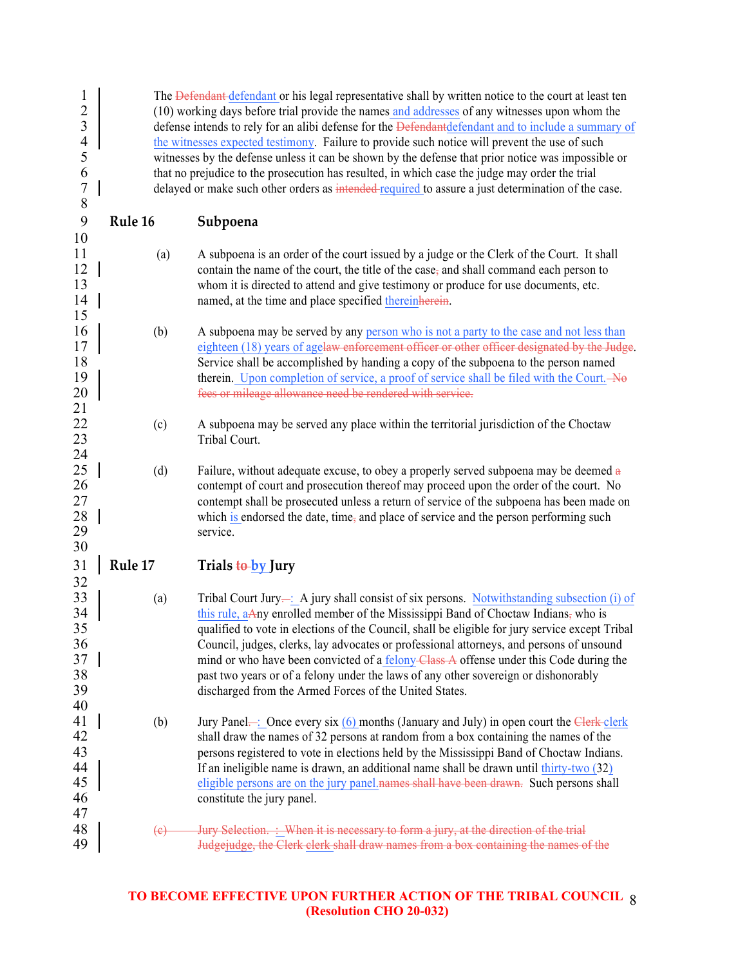| $\mathbf{l}$<br>$\overline{c}$<br>$\mathfrak{Z}$<br>$\overline{4}$<br>5<br>6<br>$\overline{7}$<br>8 |         | The Defendant defendant or his legal representative shall by written notice to the court at least ten<br>(10) working days before trial provide the names and addresses of any witnesses upon whom the<br>defense intends to rely for an alibi defense for the Defendant defendant and to include a summary of<br>the witnesses expected testimony. Failure to provide such notice will prevent the use of such<br>witnesses by the defense unless it can be shown by the defense that prior notice was impossible or<br>that no prejudice to the prosecution has resulted, in which case the judge may order the trial<br>delayed or make such other orders as intended-required to assure a just determination of the case. |
|-----------------------------------------------------------------------------------------------------|---------|-------------------------------------------------------------------------------------------------------------------------------------------------------------------------------------------------------------------------------------------------------------------------------------------------------------------------------------------------------------------------------------------------------------------------------------------------------------------------------------------------------------------------------------------------------------------------------------------------------------------------------------------------------------------------------------------------------------------------------|
| 9<br>10                                                                                             | Rule 16 | Subpoena                                                                                                                                                                                                                                                                                                                                                                                                                                                                                                                                                                                                                                                                                                                      |
| 11<br>12<br>13<br>14<br>15                                                                          | (a)     | A subpoena is an order of the court issued by a judge or the Clerk of the Court. It shall<br>contain the name of the court, the title of the case, and shall command each person to<br>whom it is directed to attend and give testimony or produce for use documents, etc.<br>named, at the time and place specified thereinherein.                                                                                                                                                                                                                                                                                                                                                                                           |
| 16<br>17<br>18<br>19<br>20<br>21                                                                    | (b)     | A subpoena may be served by any person who is not a party to the case and not less than<br>eighteen (18) years of agelaw enforcement officer or other officer designated by the Judge.<br>Service shall be accomplished by handing a copy of the subpoena to the person named<br>therein. Upon completion of service, a proof of service shall be filed with the Court. No<br>fees or mileage allowance need be rendered with service.                                                                                                                                                                                                                                                                                        |
| 22<br>23<br>24                                                                                      | (c)     | A subpoena may be served any place within the territorial jurisdiction of the Choctaw<br>Tribal Court.                                                                                                                                                                                                                                                                                                                                                                                                                                                                                                                                                                                                                        |
| 25<br>26<br>27<br>28<br>29<br>30                                                                    | (d)     | Failure, without adequate excuse, to obey a properly served subpoena may be deemed a<br>contempt of court and prosecution thereof may proceed upon the order of the court. No<br>contempt shall be prosecuted unless a return of service of the subpoena has been made on<br>which is endorsed the date, time, and place of service and the person performing such<br>service.                                                                                                                                                                                                                                                                                                                                                |
| 31<br>32                                                                                            | Rule 17 | Trials to by Jury                                                                                                                                                                                                                                                                                                                                                                                                                                                                                                                                                                                                                                                                                                             |
| 33<br>34<br>35<br>36<br>37<br>38<br>39<br>40                                                        | (a)     | Tribal Court Jury— $\therefore$ A jury shall consist of six persons. Notwithstanding subsection (i) of<br>this rule, aAny enrolled member of the Mississippi Band of Choctaw Indians, who is<br>qualified to vote in elections of the Council, shall be eligible for jury service except Tribal<br>Council, judges, clerks, lay advocates or professional attorneys, and persons of unsound<br>mind or who have been convicted of a <u>felony-Class-A</u> offense under this Code during the<br>past two years or of a felony under the laws of any other sovereign or dishonorably<br>discharged from the Armed Forces of the United States.                                                                                 |
| 41<br>42<br>43<br>44<br>45<br>46<br>47                                                              | (b)     | Jury Panel—: Once every six $(6)$ months (January and July) in open court the Clerk-clerk<br>shall draw the names of 32 persons at random from a box containing the names of the<br>persons registered to vote in elections held by the Mississippi Band of Choctaw Indians.<br>If an ineligible name is drawn, an additional name shall be drawn until thirty-two (32)<br>eligible persons are on the jury panel names shall have been drawn. Such persons shall<br>constitute the jury panel.                                                                                                                                                                                                                               |
| 48<br>49                                                                                            | (e)     | Jury Selection. : When it is necessary to form a jury, at the direction of the trial<br>Judgejudge, the Clerk clerk shall draw names from a box containing the names of the                                                                                                                                                                                                                                                                                                                                                                                                                                                                                                                                                   |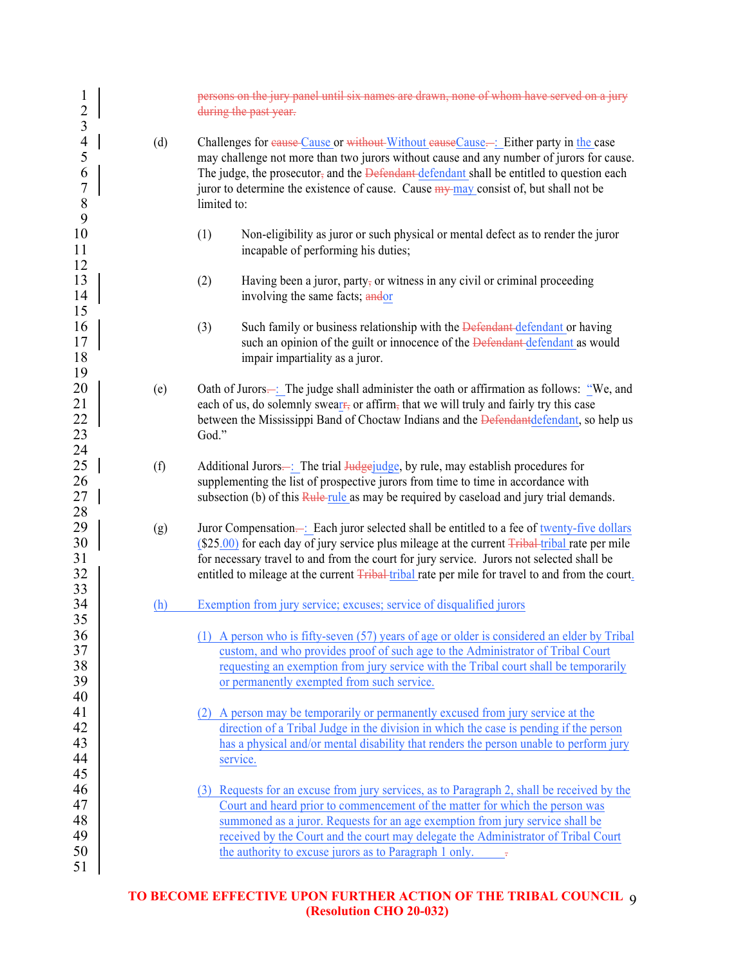| $\mathbf{1}$<br>$\overline{c}$<br>$\overline{3}$             |     | persons on the jury panel until six names are drawn, none of whom have served on a jury<br>during the past year.                                                                                                                                                                                                                                                                                            |
|--------------------------------------------------------------|-----|-------------------------------------------------------------------------------------------------------------------------------------------------------------------------------------------------------------------------------------------------------------------------------------------------------------------------------------------------------------------------------------------------------------|
| $\overline{4}$<br>5<br>6<br>$\overline{7}$<br>$\,$ $\,$<br>9 | (d) | Challenges for eause Cause or without Without eauseCause -: Either party in the case<br>may challenge not more than two jurors without cause and any number of jurors for cause.<br>The judge, the prosecutor, and the Defendant defendant shall be entitled to question each<br>juror to determine the existence of cause. Cause $\frac{my - may}{may}$ consist of, but shall not be<br>limited to:        |
| 10<br>11<br>12                                               |     | (1)<br>Non-eligibility as juror or such physical or mental defect as to render the juror<br>incapable of performing his duties;                                                                                                                                                                                                                                                                             |
| 13<br>14<br>15                                               |     | (2)<br>Having been a juror, party, or witness in any civil or criminal proceeding<br>involving the same facts; andor                                                                                                                                                                                                                                                                                        |
| 16<br>17<br>18<br>19                                         |     | Such family or business relationship with the Defendant defendant or having<br>(3)<br>such an opinion of the guilt or innocence of the Defendant-defendant as would<br>impair impartiality as a juror.                                                                                                                                                                                                      |
| 20<br>21<br>22<br>23<br>24                                   | (e) | Oath of Jurors— <b>:</b> The judge shall administer the oath or affirmation as follows: "We, and<br>each of us, do solemnly swear <del>r,</del> or affirm, that we will truly and fairly try this case<br>between the Mississippi Band of Choctaw Indians and the Defendantdefendant, so help us<br>God."                                                                                                   |
| 25<br>26<br>27<br>28                                         | (f) | Additional Jurors—: The trial Judgejudge, by rule, may establish procedures for<br>supplementing the list of prospective jurors from time to time in accordance with<br>subsection (b) of this Rule rule as may be required by caseload and jury trial demands.                                                                                                                                             |
| 29<br>30<br>31<br>32                                         | (g) | Juror Compensation—: Each juror selected shall be entitled to a fee of twenty-five dollars<br>$(S25.00)$ for each day of jury service plus mileage at the current $Fribal-tribal$ rate per mile<br>for necessary travel to and from the court for jury service. Jurors not selected shall be<br>entitled to mileage at the current Tribal-tribal rate per mile for travel to and from the court.            |
| 33<br>34                                                     | (h) | Exemption from jury service; excuses; service of disqualified jurors                                                                                                                                                                                                                                                                                                                                        |
| 35<br>36<br>37<br>38<br>39<br>40                             |     | (1) A person who is fifty-seven (57) years of age or older is considered an elder by Tribal<br>custom, and who provides proof of such age to the Administrator of Tribal Court<br>requesting an exemption from jury service with the Tribal court shall be temporarily<br>or permanently exempted from such service.                                                                                        |
| 41<br>42<br>43<br>44<br>45                                   |     | (2) A person may be temporarily or permanently excused from jury service at the<br>direction of a Tribal Judge in the division in which the case is pending if the person<br>has a physical and/or mental disability that renders the person unable to perform jury<br>service.                                                                                                                             |
| 46<br>47<br>48<br>49<br>50<br>51                             |     | (3) Requests for an excuse from jury services, as to Paragraph 2, shall be received by the<br>Court and heard prior to commencement of the matter for which the person was<br>summoned as a juror. Requests for an age exemption from jury service shall be<br>received by the Court and the court may delegate the Administrator of Tribal Court<br>the authority to excuse jurors as to Paragraph 1 only. |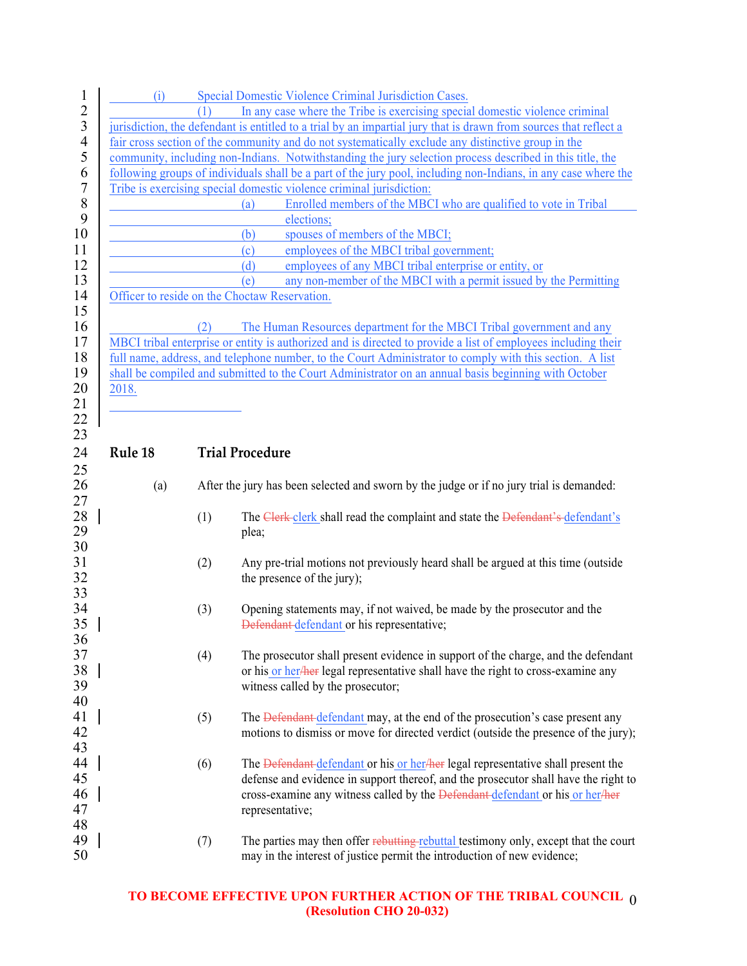| $\mathbf{1}$   | (i)     |     | Special Domestic Violence Criminal Jurisdiction Cases.                                                            |
|----------------|---------|-----|-------------------------------------------------------------------------------------------------------------------|
| $\overline{2}$ |         |     | In any case where the Tribe is exercising special domestic violence criminal                                      |
| $\mathfrak{Z}$ |         |     | jurisdiction, the defendant is entitled to a trial by an impartial jury that is drawn from sources that reflect a |
| $\overline{4}$ |         |     | fair cross section of the community and do not systematically exclude any distinctive group in the                |
| 5              |         |     | community, including non-Indians. Notwithstanding the jury selection process described in this title, the         |
| 6              |         |     | following groups of individuals shall be a part of the jury pool, including non-Indians, in any case where the    |
| 7              |         |     | Tribe is exercising special domestic violence criminal jurisdiction:                                              |
| 8              |         |     | Enrolled members of the MBCI who are qualified to vote in Tribal<br>(a)                                           |
| 9              |         |     | elections;                                                                                                        |
| 10             |         |     | spouses of members of the MBCI;<br>(b)                                                                            |
| 11             |         |     | employees of the MBCI tribal government;<br>(c)                                                                   |
| 12             |         |     | employees of any MBCI tribal enterprise or entity, or<br>(d)                                                      |
| 13             |         |     | any non-member of the MBCI with a permit issued by the Permitting<br>(e)                                          |
| 14             |         |     | Officer to reside on the Choctaw Reservation.                                                                     |
| 15             |         |     |                                                                                                                   |
| 16             |         | (2) | The Human Resources department for the MBCI Tribal government and any                                             |
| 17             |         |     | MBCI tribal enterprise or entity is authorized and is directed to provide a list of employees including their     |
| 18             |         |     | full name, address, and telephone number, to the Court Administrator to comply with this section. A list          |
| 19             |         |     | shall be compiled and submitted to the Court Administrator on an annual basis beginning with October              |
| 20             | 2018.   |     |                                                                                                                   |
| 21             |         |     |                                                                                                                   |
| 22             |         |     |                                                                                                                   |
| 23             |         |     |                                                                                                                   |
| 24             | Rule 18 |     | <b>Trial Procedure</b>                                                                                            |
|                |         |     |                                                                                                                   |
| 25<br>26       | (a)     |     | After the jury has been selected and sworn by the judge or if no jury trial is demanded:                          |
| 27             |         |     |                                                                                                                   |
| 28             |         | (1) | The Clerk-clerk shall read the complaint and state the Defendant's-defendant's                                    |
| 29             |         |     | plea;                                                                                                             |
| 30             |         |     |                                                                                                                   |
| 31             |         | (2) | Any pre-trial motions not previously heard shall be argued at this time (outside                                  |
| 32             |         |     | the presence of the jury);                                                                                        |
| 33             |         |     |                                                                                                                   |
| 34             |         | (3) | Opening statements may, if not waived, be made by the prosecutor and the                                          |
| 35             |         |     |                                                                                                                   |
|                |         |     | Defendant defendant or his representative;                                                                        |
| 36             |         |     |                                                                                                                   |
| 37             |         | (4) | The prosecutor shall present evidence in support of the charge, and the defendant                                 |
| 38             |         |     | or his or her/her legal representative shall have the right to cross-examine any                                  |
| 39             |         |     | witness called by the prosecutor;                                                                                 |
| 40             |         |     |                                                                                                                   |
| 41             |         | (5) | The Defendant defendant may, at the end of the prosecution's case present any                                     |
| 42             |         |     | motions to dismiss or move for directed verdict (outside the presence of the jury);                               |
| 43             |         |     |                                                                                                                   |
| 44             |         | (6) | The Defendant defendant or his or her/her legal representative shall present the                                  |
| 45             |         |     | defense and evidence in support thereof, and the prosecutor shall have the right to                               |
| 46             |         |     | cross-examine any witness called by the Defendant-defendant or his or her/her                                     |
| 47             |         |     | representative;                                                                                                   |
| 48             |         |     |                                                                                                                   |
| 49             |         | (7) | The parties may then offer rebutting rebuttal testimony only, except that the court                               |
| 50             |         |     | may in the interest of justice permit the introduction of new evidence;                                           |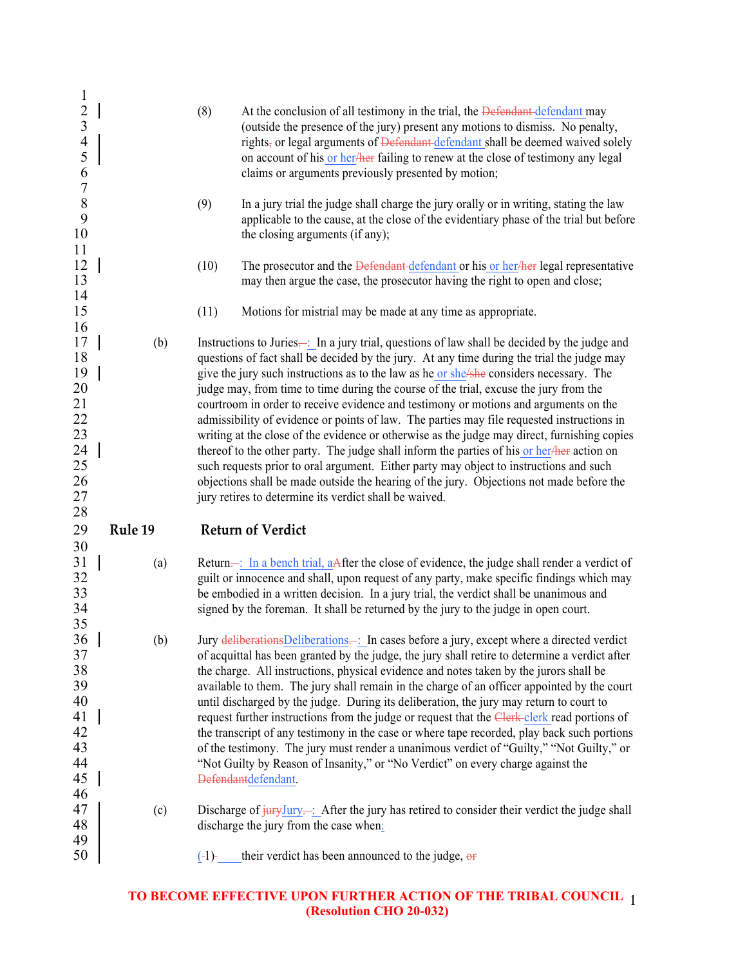| $\mathbf{1}$                                                    |         |      |                                                                                                                                                                                                                                                                                                                                                                                                                                                                                                                                                                                                                                                                                                                                                                                                                                                                                       |
|-----------------------------------------------------------------|---------|------|---------------------------------------------------------------------------------------------------------------------------------------------------------------------------------------------------------------------------------------------------------------------------------------------------------------------------------------------------------------------------------------------------------------------------------------------------------------------------------------------------------------------------------------------------------------------------------------------------------------------------------------------------------------------------------------------------------------------------------------------------------------------------------------------------------------------------------------------------------------------------------------|
| $\frac{2}{3}$<br>$\overline{\mathcal{A}}$<br>5<br>$\frac{6}{7}$ |         | (8)  | At the conclusion of all testimony in the trial, the Defendant defendant may<br>(outside the presence of the jury) present any motions to dismiss. No penalty,<br>rights, or legal arguments of Defendant-defendant shall be deemed waived solely<br>on account of his or her/her failing to renew at the close of testimony any legal<br>claims or arguments previously presented by motion;                                                                                                                                                                                                                                                                                                                                                                                                                                                                                         |
| $\,$ $\,$<br>9<br>10<br>11                                      |         | (9)  | In a jury trial the judge shall charge the jury orally or in writing, stating the law<br>applicable to the cause, at the close of the evidentiary phase of the trial but before<br>the closing arguments (if any);                                                                                                                                                                                                                                                                                                                                                                                                                                                                                                                                                                                                                                                                    |
| 12<br>13<br>14                                                  |         | (10) | The prosecutor and the Defendant defendant or his or her/her legal representative<br>may then argue the case, the prosecutor having the right to open and close;                                                                                                                                                                                                                                                                                                                                                                                                                                                                                                                                                                                                                                                                                                                      |
| 15<br>16                                                        |         | (11) | Motions for mistrial may be made at any time as appropriate.                                                                                                                                                                                                                                                                                                                                                                                                                                                                                                                                                                                                                                                                                                                                                                                                                          |
| 17<br>18<br>19<br>20<br>21<br>22<br>23<br>24                    | (b)     |      | Instructions to Juries—: In a jury trial, questions of law shall be decided by the judge and<br>questions of fact shall be decided by the jury. At any time during the trial the judge may<br>give the jury such instructions as to the law as he or she/she considers necessary. The<br>judge may, from time to time during the course of the trial, excuse the jury from the<br>courtroom in order to receive evidence and testimony or motions and arguments on the<br>admissibility of evidence or points of law. The parties may file requested instructions in<br>writing at the close of the evidence or otherwise as the judge may direct, furnishing copies<br>thereof to the other party. The judge shall inform the parties of his or her/her action on                                                                                                                    |
| 25<br>26<br>27                                                  |         |      | such requests prior to oral argument. Either party may object to instructions and such<br>objections shall be made outside the hearing of the jury. Objections not made before the<br>jury retires to determine its verdict shall be waived.                                                                                                                                                                                                                                                                                                                                                                                                                                                                                                                                                                                                                                          |
| 28<br>29                                                        | Rule 19 |      | <b>Return of Verdict</b>                                                                                                                                                                                                                                                                                                                                                                                                                                                                                                                                                                                                                                                                                                                                                                                                                                                              |
| 30<br>31<br>32<br>33<br>34                                      | (a)     |      | Return—: In a bench trial, aAfter the close of evidence, the judge shall render a verdict of<br>guilt or innocence and shall, upon request of any party, make specific findings which may<br>be embodied in a written decision. In a jury trial, the verdict shall be unanimous and<br>signed by the foreman. It shall be returned by the jury to the judge in open court.                                                                                                                                                                                                                                                                                                                                                                                                                                                                                                            |
| 35<br>36<br>37<br>38<br>39<br>40<br>41<br>42<br>43<br>44<br>45  | (b)     |      | Jury deliberations Deliberations—: In cases before a jury, except where a directed verdict<br>of acquittal has been granted by the judge, the jury shall retire to determine a verdict after<br>the charge. All instructions, physical evidence and notes taken by the jurors shall be<br>available to them. The jury shall remain in the charge of an officer appointed by the court<br>until discharged by the judge. During its deliberation, the jury may return to court to<br>request further instructions from the judge or request that the Clerk clerk read portions of<br>the transcript of any testimony in the case or where tape recorded, play back such portions<br>of the testimony. The jury must render a unanimous verdict of "Guilty," "Not Guilty," or<br>"Not Guilty by Reason of Insanity," or "No Verdict" on every charge against the<br>Defendantdefendant. |
| 46<br>47<br>48<br>49                                            | (c)     |      | Discharge of $\frac{1}{2}$ $\frac{1}{2}$ $\frac{1}{2}$ $\frac{1}{2}$ $\frac{1}{2}$ $\frac{1}{2}$ After the jury has retired to consider their verdict the judge shall<br>discharge the jury from the case when:                                                                                                                                                                                                                                                                                                                                                                                                                                                                                                                                                                                                                                                                       |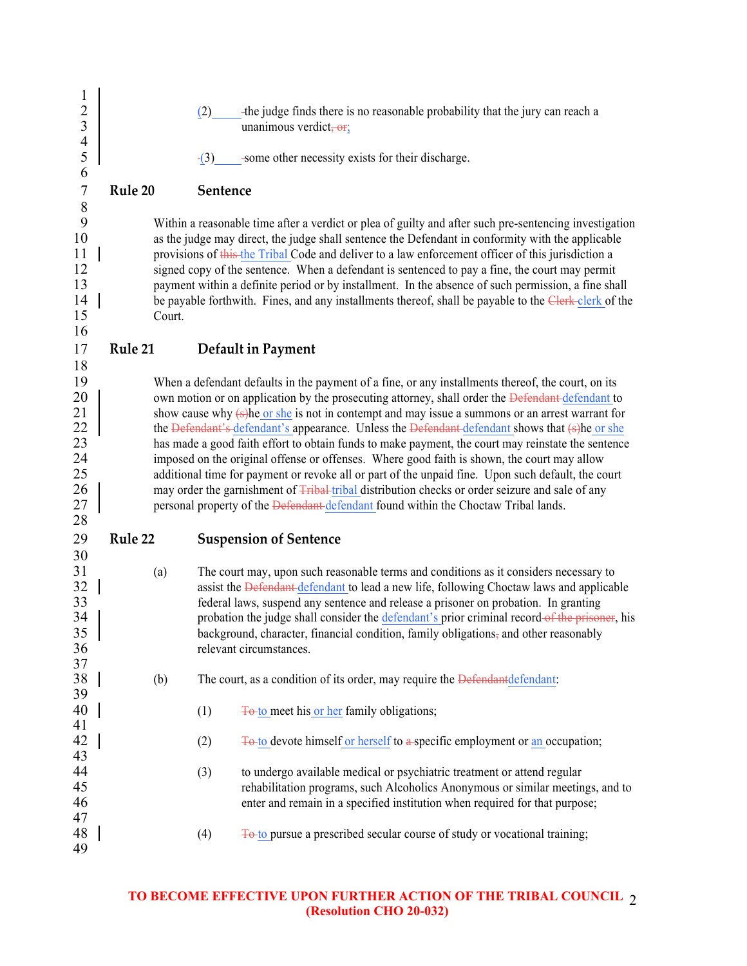| $\mathbf{1}$<br>$\frac{2}{3}$<br>$\overline{4}$<br>5           |         | (2)<br>$-(3)$ | -the judge finds there is no reasonable probability that the jury can reach a<br>unanimous verdict, or,<br>-some other necessity exists for their discharge.                                                                                                                                                                                                                                                                                                                                                                                                                                                                                                                                                                                                                                                                                                                                                                             |  |  |  |  |
|----------------------------------------------------------------|---------|---------------|------------------------------------------------------------------------------------------------------------------------------------------------------------------------------------------------------------------------------------------------------------------------------------------------------------------------------------------------------------------------------------------------------------------------------------------------------------------------------------------------------------------------------------------------------------------------------------------------------------------------------------------------------------------------------------------------------------------------------------------------------------------------------------------------------------------------------------------------------------------------------------------------------------------------------------------|--|--|--|--|
| 6<br>$\boldsymbol{7}$                                          | Rule 20 | Sentence      |                                                                                                                                                                                                                                                                                                                                                                                                                                                                                                                                                                                                                                                                                                                                                                                                                                                                                                                                          |  |  |  |  |
| $\,$ $\,$<br>9<br>10<br>11<br>12<br>13<br>14<br>15<br>16       | Court.  |               | Within a reasonable time after a verdict or plea of guilty and after such pre-sentencing investigation<br>as the judge may direct, the judge shall sentence the Defendant in conformity with the applicable<br>provisions of this the Tribal Code and deliver to a law enforcement officer of this jurisdiction a<br>signed copy of the sentence. When a defendant is sentenced to pay a fine, the court may permit<br>payment within a definite period or by installment. In the absence of such permission, a fine shall<br>be payable forthwith. Fines, and any installments thereof, shall be payable to the Clerk-clerk of the                                                                                                                                                                                                                                                                                                      |  |  |  |  |
| 17                                                             | Rule 21 |               | Default in Payment                                                                                                                                                                                                                                                                                                                                                                                                                                                                                                                                                                                                                                                                                                                                                                                                                                                                                                                       |  |  |  |  |
| 18<br>19<br>20<br>21<br>22<br>23<br>24<br>25<br>26<br>27<br>28 |         |               | When a defendant defaults in the payment of a fine, or any installments thereof, the court, on its<br>own motion or on application by the prosecuting attorney, shall order the Defendant-defendant to<br>show cause why (s) he or she is not in contempt and may issue a summons or an arrest warrant for<br>the <del>Defendant's defendant's</del> appearance. Unless the <del>Defendant defendant</del> shows that (s) he or she<br>has made a good faith effort to obtain funds to make payment, the court may reinstate the sentence<br>imposed on the original offense or offenses. Where good faith is shown, the court may allow<br>additional time for payment or revoke all or part of the unpaid fine. Upon such default, the court<br>may order the garnishment of Fribal tribal distribution checks or order seizure and sale of any<br>personal property of the Defendant defendant found within the Choctaw Tribal lands. |  |  |  |  |
| 29<br>30                                                       | Rule 22 |               | <b>Suspension of Sentence</b>                                                                                                                                                                                                                                                                                                                                                                                                                                                                                                                                                                                                                                                                                                                                                                                                                                                                                                            |  |  |  |  |
| 31<br>32<br>33<br>34<br>35<br>36<br>37                         | (a)     |               | The court may, upon such reasonable terms and conditions as it considers necessary to<br>assist the Defendant-defendant to lead a new life, following Choctaw laws and applicable<br>federal laws, suspend any sentence and release a prisoner on probation. In granting<br>probation the judge shall consider the defendant's prior criminal record-of the prisoner, his<br>background, character, financial condition, family obligations, and other reasonably<br>relevant circumstances.                                                                                                                                                                                                                                                                                                                                                                                                                                             |  |  |  |  |
| 38<br>39                                                       | (b)     |               | The court, as a condition of its order, may require the Defendant defendant.                                                                                                                                                                                                                                                                                                                                                                                                                                                                                                                                                                                                                                                                                                                                                                                                                                                             |  |  |  |  |
| 40<br>41                                                       |         | (1)           | <b>To to meet his or her family obligations;</b>                                                                                                                                                                                                                                                                                                                                                                                                                                                                                                                                                                                                                                                                                                                                                                                                                                                                                         |  |  |  |  |
| 42<br>43                                                       |         | (2)           | To to devote himself or herself to a specific employment or an occupation;                                                                                                                                                                                                                                                                                                                                                                                                                                                                                                                                                                                                                                                                                                                                                                                                                                                               |  |  |  |  |
| 44<br>45<br>46<br>47                                           |         | (3)           | to undergo available medical or psychiatric treatment or attend regular<br>rehabilitation programs, such Alcoholics Anonymous or similar meetings, and to<br>enter and remain in a specified institution when required for that purpose;                                                                                                                                                                                                                                                                                                                                                                                                                                                                                                                                                                                                                                                                                                 |  |  |  |  |
| 48<br>49                                                       |         | (4)           | <b>To to pursue a prescribed secular course of study or vocational training;</b>                                                                                                                                                                                                                                                                                                                                                                                                                                                                                                                                                                                                                                                                                                                                                                                                                                                         |  |  |  |  |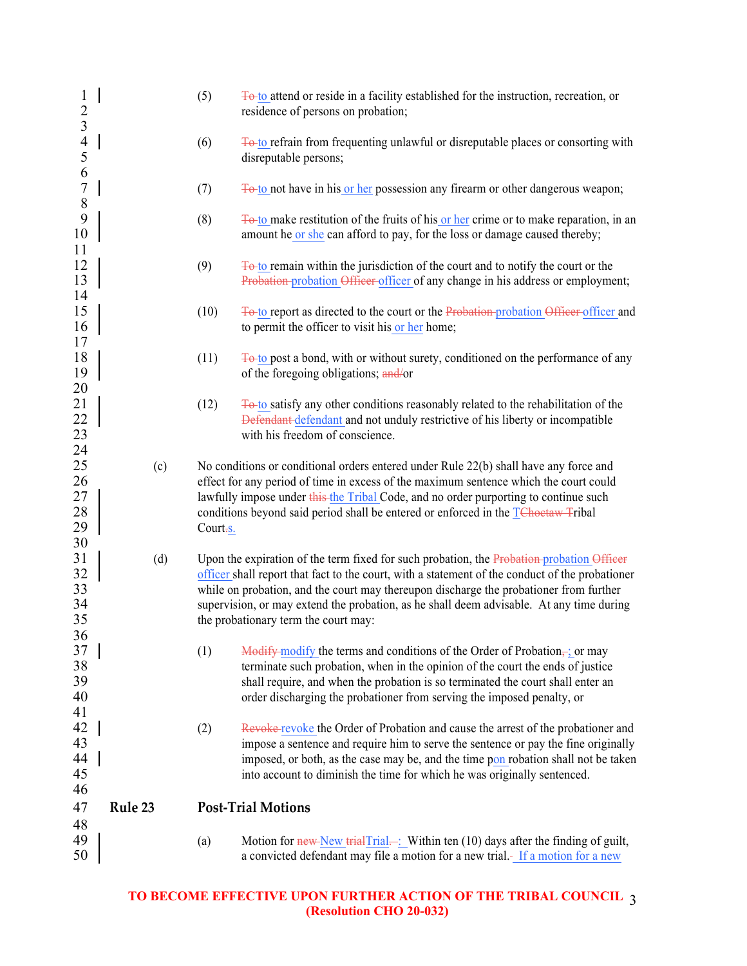| $\mathbf{1}$<br>$\frac{2}{3}$          |         | (5)                                                                                                                                                                                                                                                                                                                                                                                                                        | To to attend or reside in a facility established for the instruction, recreation, or<br>residence of persons on probation;                                                                                                                                                                                                               |  |
|----------------------------------------|---------|----------------------------------------------------------------------------------------------------------------------------------------------------------------------------------------------------------------------------------------------------------------------------------------------------------------------------------------------------------------------------------------------------------------------------|------------------------------------------------------------------------------------------------------------------------------------------------------------------------------------------------------------------------------------------------------------------------------------------------------------------------------------------|--|
| $\overline{4}$<br>5                    |         | (6)                                                                                                                                                                                                                                                                                                                                                                                                                        | <b>To to refrain from frequenting unlawful or disreputable places or consorting with</b><br>disreputable persons;                                                                                                                                                                                                                        |  |
| $\frac{6}{7}$<br>$\,$ $\,$             |         | (7)                                                                                                                                                                                                                                                                                                                                                                                                                        | To to not have in his or her possession any firearm or other dangerous weapon;                                                                                                                                                                                                                                                           |  |
| 9<br>10<br>11                          |         | (8)                                                                                                                                                                                                                                                                                                                                                                                                                        | <b>To to make restitution of the fruits of his or her crime or to make reparation, in an</b><br>amount he or she can afford to pay, for the loss or damage caused thereby;                                                                                                                                                               |  |
| 12<br>13                               |         | (9)                                                                                                                                                                                                                                                                                                                                                                                                                        | $\frac{1}{2}$ To to remain within the jurisdiction of the court and to notify the court or the<br>Probation probation Officer officer of any change in his address or employment;                                                                                                                                                        |  |
| 14<br>15<br>16<br>17                   |         | (10)                                                                                                                                                                                                                                                                                                                                                                                                                       | To to report as directed to the court or the Probation-probation Officer-officer and<br>to permit the officer to visit his or her home;                                                                                                                                                                                                  |  |
| 18<br>19                               |         | (11)                                                                                                                                                                                                                                                                                                                                                                                                                       | <b>To to post a bond, with or without surety, conditioned on the performance of any</b><br>of the foregoing obligations; and/or                                                                                                                                                                                                          |  |
| 20<br>21<br>22<br>23                   |         | (12)                                                                                                                                                                                                                                                                                                                                                                                                                       | <b>To to satisfy any other conditions reasonably related to the rehabilitation of the</b><br>Defendant defendant and not unduly restrictive of his liberty or incompatible<br>with his freedom of conscience.                                                                                                                            |  |
| 24<br>25<br>26<br>27<br>28<br>29<br>30 | (c)     | No conditions or conditional orders entered under Rule 22(b) shall have any force and<br>effect for any period of time in excess of the maximum sentence which the court could<br>lawfully impose under this the Tribal Code, and no order purporting to continue such<br>conditions beyond said period shall be entered or enforced in the TChoetaw Tribal<br>Court-s.                                                    |                                                                                                                                                                                                                                                                                                                                          |  |
| 31<br>32<br>33<br>34<br>35<br>36       | (d)     | Upon the expiration of the term fixed for such probation, the Probation probation Officer<br>officer shall report that fact to the court, with a statement of the conduct of the probationer<br>while on probation, and the court may thereupon discharge the probationer from further<br>supervision, or may extend the probation, as he shall deem advisable. At any time during<br>the probationary term the court may: |                                                                                                                                                                                                                                                                                                                                          |  |
| 37<br>38<br>39<br>40<br>41             |         | (1)                                                                                                                                                                                                                                                                                                                                                                                                                        | Modify modify the terms and conditions of the Order of Probation $\pm$ ; or may<br>terminate such probation, when in the opinion of the court the ends of justice<br>shall require, and when the probation is so terminated the court shall enter an<br>order discharging the probationer from serving the imposed penalty, or           |  |
| 42<br>43<br>44<br>45<br>46             |         | (2)                                                                                                                                                                                                                                                                                                                                                                                                                        | Revoke revoke the Order of Probation and cause the arrest of the probationer and<br>impose a sentence and require him to serve the sentence or pay the fine originally<br>imposed, or both, as the case may be, and the time pon robation shall not be taken<br>into account to diminish the time for which he was originally sentenced. |  |
| 47                                     | Rule 23 | <b>Post-Trial Motions</b>                                                                                                                                                                                                                                                                                                                                                                                                  |                                                                                                                                                                                                                                                                                                                                          |  |
| 48<br>49<br>50                         |         | (a)                                                                                                                                                                                                                                                                                                                                                                                                                        | Motion for new New trialTrial—: Within ten (10) days after the finding of guilt,<br>a convicted defendant may file a motion for a new trial.- If a motion for a new                                                                                                                                                                      |  |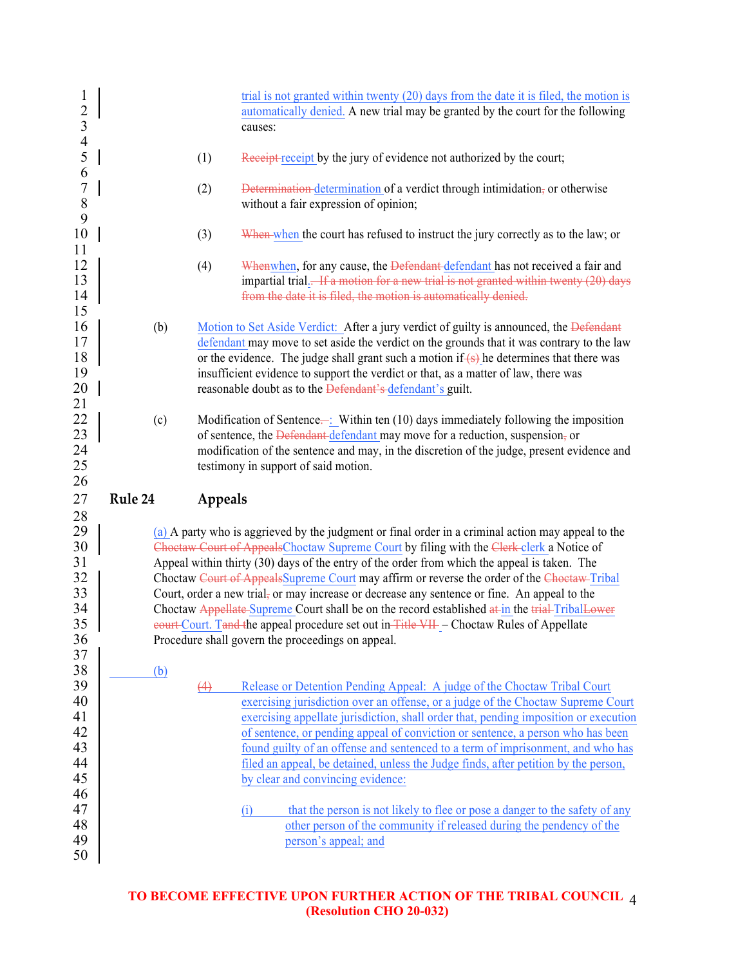| $\mathbf{1}$<br>$\overline{c}$<br>$\overline{\mathbf{3}}$<br>$\overline{4}$ |         |         | trial is not granted within twenty (20) days from the date it is filed, the motion is<br>automatically denied. A new trial may be granted by the court for the following<br>causes:                                                                                                                                                                                                                                                                                                                                                                                                                                                                                                                                                               |
|-----------------------------------------------------------------------------|---------|---------|---------------------------------------------------------------------------------------------------------------------------------------------------------------------------------------------------------------------------------------------------------------------------------------------------------------------------------------------------------------------------------------------------------------------------------------------------------------------------------------------------------------------------------------------------------------------------------------------------------------------------------------------------------------------------------------------------------------------------------------------------|
| 5<br>6                                                                      |         | (1)     | Receipt receipt by the jury of evidence not authorized by the court;                                                                                                                                                                                                                                                                                                                                                                                                                                                                                                                                                                                                                                                                              |
| $\overline{7}$<br>$\,8\,$<br>9                                              |         | (2)     | Determination determination of a verdict through intimidation, or otherwise<br>without a fair expression of opinion;                                                                                                                                                                                                                                                                                                                                                                                                                                                                                                                                                                                                                              |
| 10                                                                          |         | (3)     | When when the court has refused to instruct the jury correctly as to the law; or                                                                                                                                                                                                                                                                                                                                                                                                                                                                                                                                                                                                                                                                  |
| 11<br>12<br>13<br>14<br>15                                                  |         | (4)     | Whenwhen, for any cause, the Defendant defendant has not received a fair and<br>impartial trial. <del> If a motion for a new trial is not granted within twenty (20) days</del><br>from the date it is filed, the motion is automatically denied.                                                                                                                                                                                                                                                                                                                                                                                                                                                                                                 |
| 16<br>17<br>18<br>19<br>20<br>21                                            | (b)     |         | Motion to Set Aside Verdict: After a jury verdict of guilty is announced, the Defendant<br>defendant may move to set aside the verdict on the grounds that it was contrary to the law<br>or the evidence. The judge shall grant such a motion if $(s)$ he determines that there was<br>insufficient evidence to support the verdict or that, as a matter of law, there was<br>reasonable doubt as to the <b>Defendant's defendant's guilt</b> .                                                                                                                                                                                                                                                                                                   |
| 22<br>23                                                                    | (c)     |         | Modification of Sentence—: Within ten $(10)$ days immediately following the imposition<br>of sentence, the Defendant defendant may move for a reduction, suspension, or                                                                                                                                                                                                                                                                                                                                                                                                                                                                                                                                                                           |
| 24<br>25                                                                    |         |         | modification of the sentence and may, in the discretion of the judge, present evidence and<br>testimony in support of said motion.                                                                                                                                                                                                                                                                                                                                                                                                                                                                                                                                                                                                                |
| 26<br>27                                                                    | Rule 24 | Appeals |                                                                                                                                                                                                                                                                                                                                                                                                                                                                                                                                                                                                                                                                                                                                                   |
| 28<br>29<br>30<br>31<br>32<br>33<br>34<br>35<br>36<br>37                    |         |         | (a) A party who is aggrieved by the judgment or final order in a criminal action may appeal to the<br>Choetaw Court of AppealsChoctaw Supreme Court by filing with the Clerk-clerk a Notice of<br>Appeal within thirty (30) days of the entry of the order from which the appeal is taken. The<br>Choctaw Court of AppealsSupreme Court may affirm or reverse the order of the Choetaw-Tribal<br>Court, order a new trial, or may increase or decrease any sentence or fine. An appeal to the<br>Choctaw Appellate Supreme Court shall be on the record established at in the trial Tribal Lower<br>eourt Court. Tand the appeal procedure set out in Title VII - Choctaw Rules of Appellate<br>Procedure shall govern the proceedings on appeal. |